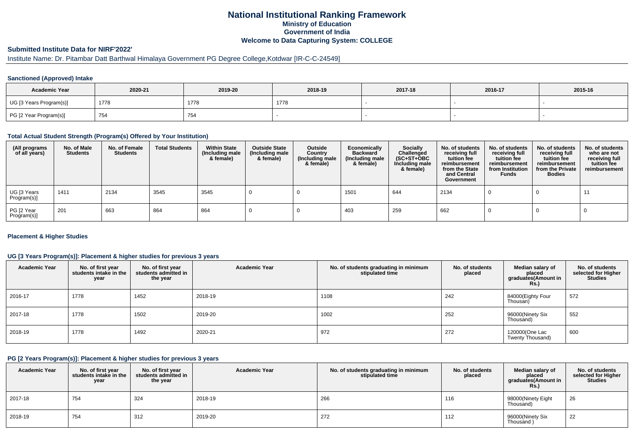# **National Institutional Ranking FrameworkMinistry of Education Government of IndiaWelcome to Data Capturing System: COLLEGE**

# **Submitted Institute Data for NIRF'2022'**

# Institute Name: Dr. Pitambar Datt Barthwal Himalaya Government PG Degree College,Kotdwar [IR-C-C-24549]

### **Sanctioned (Approved) Intake**

| <b>Academic Year</b>    | 2020-21 | 2019-20 | 2018-19 | 2017-18 | 2016-17 | 2015-16 |
|-------------------------|---------|---------|---------|---------|---------|---------|
| UG [3 Years Program(s)] | 1778    | 1778    | 1778    |         |         |         |
| PG [2 Year Program(s)]  | 754     | 754     |         |         |         |         |

#### **Total Actual Student Strength (Program(s) Offered by Your Institution)**

| (All programs<br>of all years) | No. of Male<br><b>Students</b> | No. of Female<br>Students | <b>Total Students</b> | <b>Within State</b><br>(Including male<br>& female) | <b>Outside State</b><br>(Including male<br>& female) | Outside<br>Country<br>(Including male<br>& female) | Economically<br><b>Backward</b><br>(Including male<br>& female) | Socially<br>Challenged<br>$(SC+ST+OBC)$<br>Including male<br>& female) | No. of students<br>receiving full<br>tuition fee<br>reimbursement<br>from the State<br>and Central<br>Government | No. of students<br>receiving full<br>tuition fee<br>reimbursement<br>from Institution<br><b>Funds</b> | No. of students<br>receiving full<br>tuition fee<br>reimbursement<br>from the Private<br><b>Bodies</b> | No. of students<br>who are not<br>receiving full<br>tuition fee<br>reimbursement |
|--------------------------------|--------------------------------|---------------------------|-----------------------|-----------------------------------------------------|------------------------------------------------------|----------------------------------------------------|-----------------------------------------------------------------|------------------------------------------------------------------------|------------------------------------------------------------------------------------------------------------------|-------------------------------------------------------------------------------------------------------|--------------------------------------------------------------------------------------------------------|----------------------------------------------------------------------------------|
| UG [3 Years<br>Program(s)]     | 1411                           | 2134                      | 3545                  | 3545                                                |                                                      |                                                    | 1501                                                            | 644                                                                    | 2134                                                                                                             |                                                                                                       |                                                                                                        | -11                                                                              |
| PG [2 Year<br>Program(s)]      | 201                            | 663                       | 864                   | 864                                                 |                                                      |                                                    | 403                                                             | 259                                                                    | 662                                                                                                              |                                                                                                       |                                                                                                        |                                                                                  |

### **Placement & Higher Studies**

### **UG [3 Years Program(s)]: Placement & higher studies for previous 3 years**

| <b>Academic Year</b> | No. of first year<br>students intake in the<br>year | No. of first year<br>students admitted in<br>the year | <b>Academic Year</b> | No. of students graduating in minimum<br>stipulated time | No. of students<br>placed | Median salary of<br>placed<br>graduates(Amount in<br><b>Rs.)</b> | No. of students<br>selected for Higher<br><b>Studies</b> |
|----------------------|-----------------------------------------------------|-------------------------------------------------------|----------------------|----------------------------------------------------------|---------------------------|------------------------------------------------------------------|----------------------------------------------------------|
| 2016-17              | 1778                                                | 1452                                                  | 2018-19              | 1108                                                     | 242                       | 84000(Eighty Four<br>Thousan)                                    | 572                                                      |
| 2017-18              | 1778                                                | 1502                                                  | 2019-20              | 1002                                                     | 252                       | 96000(Ninety Six<br>Thousand)                                    | 552                                                      |
| 2018-19              | 1778                                                | 1492                                                  | 2020-21              | 972                                                      | 272                       | 120000(One Lac<br>Twenty Thousand)                               | 600                                                      |

#### **PG [2 Years Program(s)]: Placement & higher studies for previous 3 years**

| <b>Academic Year</b> | No. of first year<br>students intake in the<br>year | No. of first vear<br>students admitted in<br>the year | <b>Academic Year</b> | No. of students graduating in minimum<br>stipulated time | No. of students<br>placed | Median salary of<br>placed<br>graduates(Amount in<br><b>Rs.)</b> | No. of students<br>selected for Higher<br><b>Studies</b> |
|----------------------|-----------------------------------------------------|-------------------------------------------------------|----------------------|----------------------------------------------------------|---------------------------|------------------------------------------------------------------|----------------------------------------------------------|
| 2017-18              | 754                                                 | 324                                                   | 2018-19              | 266                                                      | 116                       | 98000(Ninety Eight<br>Thousand)                                  | 26                                                       |
| 2018-19              | 754                                                 | 312                                                   | 2019-20              | 272                                                      | 112                       | 96000(Ninety Six<br>Thousand                                     | 22                                                       |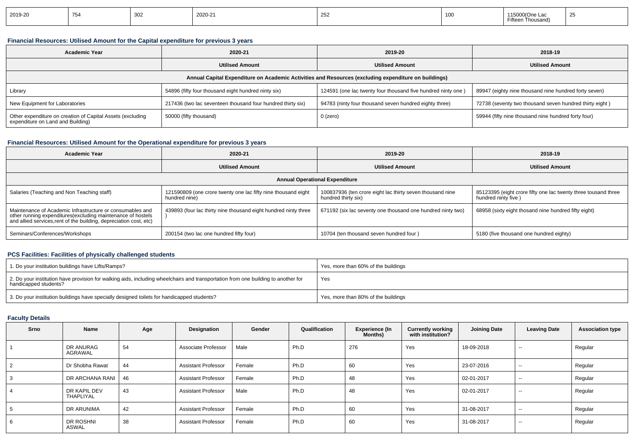| 2019-20 |  | $\sim$<br><b>200</b><br>ັບບ∠ | 2020-21 | оE<br><b>LUL</b> | -10 | ∌n Thousan |  |
|---------|--|------------------------------|---------|------------------|-----|------------|--|
|---------|--|------------------------------|---------|------------------|-----|------------|--|

## **Financial Resources: Utilised Amount for the Capital expenditure for previous 3 years**

| <b>Academic Year</b>                                                                                 | 2020-21                                                     | 2019-20                                                      | 2018-19                                                 |  |  |  |  |  |
|------------------------------------------------------------------------------------------------------|-------------------------------------------------------------|--------------------------------------------------------------|---------------------------------------------------------|--|--|--|--|--|
|                                                                                                      | <b>Utilised Amount</b>                                      | <b>Utilised Amount</b>                                       | <b>Utilised Amount</b>                                  |  |  |  |  |  |
| Annual Capital Expenditure on Academic Activities and Resources (excluding expenditure on buildings) |                                                             |                                                              |                                                         |  |  |  |  |  |
| Library                                                                                              | 54896 (fifty four thousand eight hundred ninty six)         | 124591 (one lac twenty four thousand five hundred ninty one) | 89947 (eighty nine thousand nine hundred forty seven)   |  |  |  |  |  |
| New Equipment for Laboratories                                                                       | 217436 (two lac seventeen thousand four hundred thirty six) | 94783 (ninty four thousand seven hundred eighty three)       | 72738 (seventy two thousand seven hundred thirty eight) |  |  |  |  |  |
| Other expenditure on creation of Capital Assets (excluding<br>expenditure on Land and Building)      | 50000 (fifty thousand)                                      | 0 (zero)                                                     | 59944 (fifty nine thousand nine hundred forty four)     |  |  |  |  |  |

## **Financial Resources: Utilised Amount for the Operational expenditure for previous 3 years**

| <b>Academic Year</b>                                                                                                                                                                           | 2020-21                                                                        | 2019-20                                                                          | 2018-19                                                                                |
|------------------------------------------------------------------------------------------------------------------------------------------------------------------------------------------------|--------------------------------------------------------------------------------|----------------------------------------------------------------------------------|----------------------------------------------------------------------------------------|
|                                                                                                                                                                                                | <b>Utilised Amount</b>                                                         | <b>Utilised Amount</b>                                                           | <b>Utilised Amount</b>                                                                 |
|                                                                                                                                                                                                |                                                                                | <b>Annual Operational Expenditure</b>                                            |                                                                                        |
| Salaries (Teaching and Non Teaching staff)                                                                                                                                                     | 121590809 (one crore twenty one lac fifty nine thousand eight<br>hundred nine) | 100837936 (ten crore eight lac thirty seven thousand nine<br>hundred thirty six) | 85123395 (eight crore fifty one lac twenty three tousand three<br>hundred ninty five ) |
| Maintenance of Academic Infrastructure or consumables and<br>other running expenditures(excluding maintenance of hostels<br>and allied services, rent of the building, depreciation cost, etc) | 439893 (four lac thirty nine thousand eight hundred ninty three                | 671192 (six lac seventy one thousand one hundred ninty two)                      | 68958 (sixty eight thosand nine hundred fifty eight)                                   |
| Seminars/Conferences/Workshops                                                                                                                                                                 | 200154 (two lac one hundred fifty four)                                        | 10704 (ten thousand seven hundred four)                                          | 5180 (five thousand one hundred eighty)                                                |

## **PCS Facilities: Facilities of physically challenged students**

| 1. Do your institution buildings have Lifts/Ramps?                                                                                                         | Yes, more than 60% of the buildings |
|------------------------------------------------------------------------------------------------------------------------------------------------------------|-------------------------------------|
| 2. Do your institution have provision for walking aids, including wheelchairs and transportation from one building to another for<br>handicapped students? | Yes                                 |
| 3. Do your institution buildings have specially designed toilets for handicapped students?                                                                 | Yes, more than 80% of the buildings |

# **Faculty Details**

| Srno | Name                             | Age | Designation                | Gender | Qualification | Experience (In<br>Months) | <b>Currently working</b><br>with institution? | <b>Joining Date</b> | <b>Leaving Date</b> | <b>Association type</b> |
|------|----------------------------------|-----|----------------------------|--------|---------------|---------------------------|-----------------------------------------------|---------------------|---------------------|-------------------------|
|      | DR ANURAG<br>AGRAWAL             | 54  | Associate Professor        | Male   | Ph.D          | 276                       | Yes                                           | 18-09-2018          | $\sim$              | Regular                 |
| 2    | Dr Shobha Rawat                  | 44  | <b>Assistant Professor</b> | Female | Ph.D          | 60                        | Yes                                           | 23-07-2016          | $- -$               | Regular                 |
| 3    | DR ARCHANA RANI                  | 46  | <b>Assistant Professor</b> | Female | Ph.D          | 48                        | Yes                                           | 02-01-2017          | $\sim$ $\sim$       | Regular                 |
| 4    | DR KAPIL DEV<br><b>THAPLIYAL</b> | 43  | <b>Assistant Professor</b> | Male   | Ph.D          | 48                        | Yes                                           | 02-01-2017          | $- -$               | Regular                 |
| 5    | DR ARUNIMA                       | 42  | <b>Assistant Professor</b> | Female | Ph.D          | 60                        | Yes                                           | 31-08-2017          | $-$                 | Regular                 |
| 6    | DR ROSHNI<br><b>ASWAL</b>        | 38  | <b>Assistant Professor</b> | Female | Ph.D          | 60                        | Yes                                           | 31-08-2017          | $- -$               | Regular                 |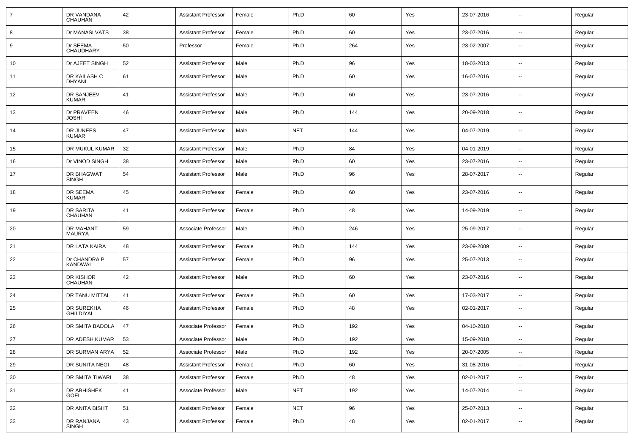| 7  | DR VANDANA<br>CHAUHAN          | 42 | <b>Assistant Professor</b> | Female | Ph.D       | 60  | Yes | 23-07-2016 | --                       | Regular |
|----|--------------------------------|----|----------------------------|--------|------------|-----|-----|------------|--------------------------|---------|
| 8  | Dr MANASI VATS                 | 38 | <b>Assistant Professor</b> | Female | Ph.D       | 60  | Yes | 23-07-2016 | $\overline{\phantom{a}}$ | Regular |
| 9  | Dr SEEMA<br>CHAUDHARY          | 50 | Professor                  | Female | Ph.D       | 264 | Yes | 23-02-2007 | --                       | Regular |
| 10 | Dr AJEET SINGH                 | 52 | <b>Assistant Professor</b> | Male   | Ph.D       | 96  | Yes | 18-03-2013 | --                       | Regular |
| 11 | DR KAILASH C<br><b>DHYANI</b>  | 61 | <b>Assistant Professor</b> | Male   | Ph.D       | 60  | Yes | 16-07-2016 | --                       | Regular |
| 12 | DR SANJEEV<br><b>KUMAR</b>     | 41 | <b>Assistant Professor</b> | Male   | Ph.D       | 60  | Yes | 23-07-2016 | --                       | Regular |
| 13 | Dr PRAVEEN<br><b>JOSHI</b>     | 46 | <b>Assistant Professor</b> | Male   | Ph.D       | 144 | Yes | 20-09-2018 | $\overline{\phantom{a}}$ | Regular |
| 14 | DR JUNEES<br><b>KUMAR</b>      | 47 | <b>Assistant Professor</b> | Male   | <b>NET</b> | 144 | Yes | 04-07-2019 | --                       | Regular |
| 15 | DR MUKUL KUMAR                 | 32 | <b>Assistant Professor</b> | Male   | Ph.D       | 84  | Yes | 04-01-2019 | -−                       | Regular |
| 16 | Dr VINOD SINGH                 | 38 | <b>Assistant Professor</b> | Male   | Ph.D       | 60  | Yes | 23-07-2016 | $\overline{a}$           | Regular |
| 17 | DR BHAGWAT<br><b>SINGH</b>     | 54 | <b>Assistant Professor</b> | Male   | Ph.D       | 96  | Yes | 28-07-2017 |                          | Regular |
| 18 | DR SEEMA<br><b>KUMARI</b>      | 45 | <b>Assistant Professor</b> | Female | Ph.D       | 60  | Yes | 23-07-2016 | --                       | Regular |
| 19 | DR SARITA<br>CHAUHAN           | 41 | <b>Assistant Professor</b> | Female | Ph.D       | 48  | Yes | 14-09-2019 | --                       | Regular |
| 20 | <b>DR MAHANT</b><br>MAURYA     | 59 | Associate Professor        | Male   | Ph.D       | 246 | Yes | 25-09-2017 |                          | Regular |
| 21 | DR LATA KAIRA                  | 48 | <b>Assistant Professor</b> | Female | Ph.D       | 144 | Yes | 23-09-2009 | --                       | Regular |
| 22 | Dr CHANDRA P<br><b>KANDWAL</b> | 57 | <b>Assistant Professor</b> | Female | Ph.D       | 96  | Yes | 25-07-2013 | $\overline{\phantom{a}}$ | Regular |
| 23 | DR KISHOR<br><b>CHAUHAN</b>    | 42 | <b>Assistant Professor</b> | Male   | Ph.D       | 60  | Yes | 23-07-2016 | $\overline{\phantom{a}}$ | Regular |
| 24 | DR TANU MITTAL                 | 41 | <b>Assistant Professor</b> | Female | Ph.D       | 60  | Yes | 17-03-2017 | $\overline{\phantom{a}}$ | Regular |
| 25 | DR SUREKHA<br><b>GHILDIYAL</b> | 46 | <b>Assistant Professor</b> | Female | Ph.D       | 48  | Yes | 02-01-2017 | $\overline{\phantom{a}}$ | Regular |
| 26 | DR SMITA BADOLA                | 47 | Associate Professor        | Female | Ph.D       | 192 | Yes | 04-10-2010 | $\overline{\phantom{a}}$ | Regular |
| 27 | DR ADESH KUMAR                 | 53 | Associate Professor        | Male   | Ph.D       | 192 | Yes | 15-09-2018 |                          | Regular |
| 28 | DR SURMAN ARYA                 | 52 | Associate Professor        | Male   | Ph.D       | 192 | Yes | 20-07-2005 | Щ,                       | Regular |
| 29 | DR SUNITA NEGI                 | 48 | <b>Assistant Professor</b> | Female | Ph.D       | 60  | Yes | 31-08-2016 | Ξ.                       | Regular |
| 30 | DR SMITA TIWARI                | 38 | <b>Assistant Professor</b> | Female | Ph.D       | 48  | Yes | 02-01-2017 | $\overline{\phantom{a}}$ | Regular |
| 31 | DR ABHISHEK<br><b>GOEL</b>     | 41 | Associate Professor        | Male   | <b>NET</b> | 192 | Yes | 14-07-2014 | $\overline{\phantom{a}}$ | Regular |
| 32 | DR ANITA BISHT                 | 51 | <b>Assistant Professor</b> | Female | <b>NET</b> | 96  | Yes | 25-07-2013 | н.                       | Regular |
| 33 | DR RANJANA<br>SINGH            | 43 | <b>Assistant Professor</b> | Female | Ph.D       | 48  | Yes | 02-01-2017 | н.                       | Regular |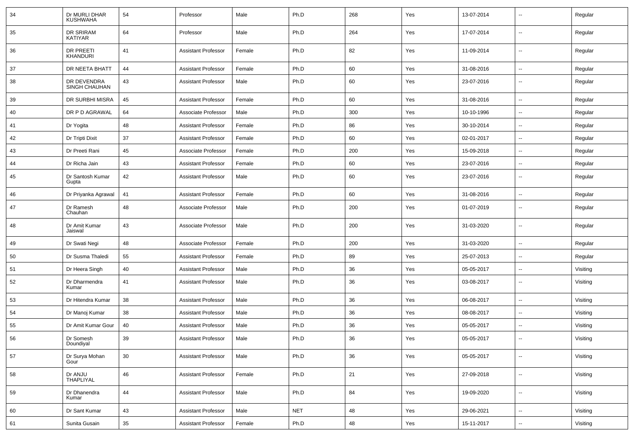| 34 | Dr MURLI DHAR<br><b>KUSHWAHA</b> | 54 | Professor                  | Male   | Ph.D       | 268 | Yes | 13-07-2014 |                          | Regular  |
|----|----------------------------------|----|----------------------------|--------|------------|-----|-----|------------|--------------------------|----------|
| 35 | DR SRIRAM<br>KATIYAR             | 64 | Professor                  | Male   | Ph.D       | 264 | Yes | 17-07-2014 | н.                       | Regular  |
| 36 | DR PREETI<br>KHANDURI            | 41 | <b>Assistant Professor</b> | Female | Ph.D       | 82  | Yes | 11-09-2014 | $\overline{\phantom{a}}$ | Regular  |
| 37 | DR NEETA BHATT                   | 44 | <b>Assistant Professor</b> | Female | Ph.D       | 60  | Yes | 31-08-2016 | $\overline{\phantom{a}}$ | Regular  |
| 38 | DR DEVENDRA<br>SINGH CHAUHAN     | 43 | <b>Assistant Professor</b> | Male   | Ph.D       | 60  | Yes | 23-07-2016 | $\overline{\phantom{a}}$ | Regular  |
| 39 | DR SURBHI MISRA                  | 45 | <b>Assistant Professor</b> | Female | Ph.D       | 60  | Yes | 31-08-2016 | ⊷.                       | Regular  |
| 40 | DR P D AGRAWAL                   | 64 | Associate Professor        | Male   | Ph.D       | 300 | Yes | 10-10-1996 | --                       | Regular  |
| 41 | Dr Yogita                        | 48 | <b>Assistant Professor</b> | Female | Ph.D       | 86  | Yes | 30-10-2014 |                          | Regular  |
| 42 | Dr Tripti Dixit                  | 37 | <b>Assistant Professor</b> | Female | Ph.D       | 60  | Yes | 02-01-2017 | $\overline{\phantom{a}}$ | Regular  |
| 43 | Dr Preeti Rani                   | 45 | Associate Professor        | Female | Ph.D       | 200 | Yes | 15-09-2018 | ⊷.                       | Regular  |
| 44 | Dr Richa Jain                    | 43 | <b>Assistant Professor</b> | Female | Ph.D       | 60  | Yes | 23-07-2016 | н.                       | Regular  |
| 45 | Dr Santosh Kumar<br>Gupta        | 42 | <b>Assistant Professor</b> | Male   | Ph.D       | 60  | Yes | 23-07-2016 | $\overline{\phantom{a}}$ | Regular  |
| 46 | Dr Priyanka Agrawal              | 41 | <b>Assistant Professor</b> | Female | Ph.D       | 60  | Yes | 31-08-2016 | $\overline{\phantom{a}}$ | Regular  |
| 47 | Dr Ramesh<br>Chauhan             | 48 | Associate Professor        | Male   | Ph.D       | 200 | Yes | 01-07-2019 | --                       | Regular  |
| 48 | Dr Amit Kumar<br>Jaiswal         | 43 | Associate Professor        | Male   | Ph.D       | 200 | Yes | 31-03-2020 | --                       | Regular  |
| 49 | Dr Swati Negi                    | 48 | Associate Professor        | Female | Ph.D       | 200 | Yes | 31-03-2020 | $\overline{\phantom{a}}$ | Regular  |
| 50 | Dr Susma Thaledi                 | 55 | <b>Assistant Professor</b> | Female | Ph.D       | 89  | Yes | 25-07-2013 |                          | Regular  |
| 51 | Dr Heera Singh                   | 40 | <b>Assistant Professor</b> | Male   | Ph.D       | 36  | Yes | 05-05-2017 | $\overline{\phantom{a}}$ | Visiting |
| 52 | Dr Dharmendra<br>Kumar           | 41 | <b>Assistant Professor</b> | Male   | Ph.D       | 36  | Yes | 03-08-2017 | $\overline{\phantom{a}}$ | Visiting |
| 53 | Dr Hitendra Kumar                | 38 | <b>Assistant Professor</b> | Male   | Ph.D       | 36  | Yes | 06-08-2017 | ⊷.                       | Visiting |
| 54 | Dr Manoj Kumar                   | 38 | <b>Assistant Professor</b> | Male   | Ph.D       | 36  | Yes | 08-08-2017 | --                       | Visiting |
| 55 | Dr Amit Kumar Gour               | 40 | <b>Assistant Professor</b> | Male   | Ph.D       | 36  | Yes | 05-05-2017 | $\overline{\phantom{a}}$ | Visiting |
| 56 | Dr Somesh<br>Doundiyal           | 39 | <b>Assistant Professor</b> | Male   | Ph.D       | 36  | Yes | 05-05-2017 | --                       | Visiting |
| 57 | Dr Surya Mohan<br>Gour           | 30 | <b>Assistant Professor</b> | Male   | Ph.D       | 36  | Yes | 05-05-2017 | $\overline{\phantom{a}}$ | Visiting |
| 58 | Dr ANJU<br>THAPLIYAL             | 46 | <b>Assistant Professor</b> | Female | Ph.D       | 21  | Yes | 27-09-2018 | $\sim$                   | Visiting |
| 59 | Dr Dhanendra<br>Kumar            | 44 | <b>Assistant Professor</b> | Male   | Ph.D       | 84  | Yes | 19-09-2020 | $\overline{\phantom{a}}$ | Visiting |
| 60 | Dr Sant Kumar                    | 43 | <b>Assistant Professor</b> | Male   | <b>NET</b> | 48  | Yes | 29-06-2021 | ⊷.                       | Visiting |
| 61 | Sunita Gusain                    | 35 | <b>Assistant Professor</b> | Female | Ph.D       | 48  | Yes | 15-11-2017 | $\overline{\phantom{a}}$ | Visiting |